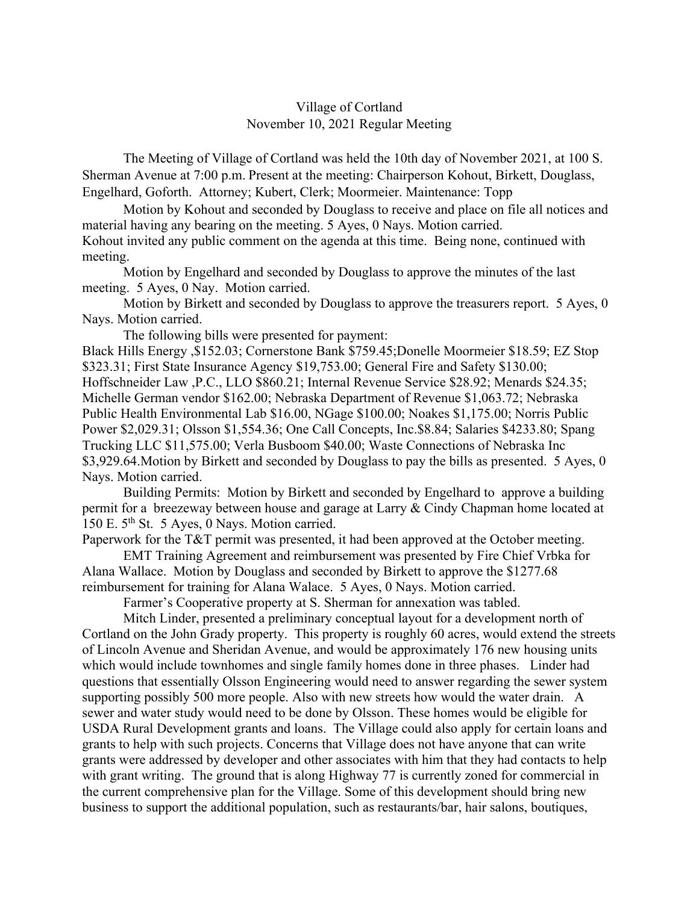## Village of Cortland November 10, 2021 Regular Meeting

The Meeting of Village of Cortland was held the 10th day of November 2021, at 100 S. Sherman Avenue at 7:00 p.m. Present at the meeting: Chairperson Kohout, Birkett, Douglass, Engelhard, Goforth. Attorney; Kubert, Clerk; Moormeier. Maintenance: Topp

Motion by Kohout and seconded by Douglass to receive and place on file all notices and material having any bearing on the meeting. 5 Ayes, 0 Nays. Motion carried. Kohout invited any public comment on the agenda at this time. Being none, continued with meeting.

Motion by Engelhard and seconded by Douglass to approve the minutes of the last meeting. 5 Ayes, 0 Nay. Motion carried.

Motion by Birkett and seconded by Douglass to approve the treasurers report. 5 Ayes, 0 Nays. Motion carried.

The following bills were presented for payment:

Black Hills Energy ,\$152.03; Cornerstone Bank \$759.45;Donelle Moormeier \$18.59; EZ Stop \$323.31; First State Insurance Agency \$19,753.00; General Fire and Safety \$130.00; Hoffschneider Law ,P.C., LLO \$860.21; Internal Revenue Service \$28.92; Menards \$24.35; Michelle German vendor \$162.00; Nebraska Department of Revenue \$1,063.72; Nebraska Public Health Environmental Lab \$16.00, NGage \$100.00; Noakes \$1,175.00; Norris Public Power \$2,029.31; Olsson \$1,554.36; One Call Concepts, Inc.\$8.84; Salaries \$4233.80; Spang Trucking LLC \$11,575.00; Verla Busboom \$40.00; Waste Connections of Nebraska Inc \$3,929.64. Motion by Birkett and seconded by Douglass to pay the bills as presented. 5 Ayes, 0 Nays. Motion carried.

Building Permits: Motion by Birkett and seconded by Engelhard to approve a building permit for a breezeway between house and garage at Larry & Cindy Chapman home located at 150 E. 5<sup>th</sup> St. 5 Ayes, 0 Nays. Motion carried.

Paperwork for the T&T permit was presented, it had been approved at the October meeting.

EMT Training Agreement and reimbursement was presented by Fire Chief Vrbka for Alana Wallace. Motion by Douglass and seconded by Birkett to approve the \$1277.68 reimbursement for training for Alana Walace. 5 Ayes, 0 Nays. Motion carried.

Farmer's Cooperative property at S. Sherman for annexation was tabled.

Mitch Linder, presented a preliminary conceptual layout for a development north of Cortland on the John Grady property. This property is roughly 60 acres, would extend the streets of Lincoln Avenue and Sheridan Avenue, and would be approximately 176 new housing units which would include townhomes and single family homes done in three phases. Linder had questions that essentially Olsson Engineering would need to answer regarding the sewer system supporting possibly 500 more people. Also with new streets how would the water drain. A sewer and water study would need to be done by Olsson. These homes would be eligible for USDA Rural Development grants and loans. The Village could also apply for certain loans and grants to help with such projects. Concerns that Village does not have anyone that can write grants were addressed by developer and other associates with him that they had contacts to help with grant writing. The ground that is along Highway 77 is currently zoned for commercial in the current comprehensive plan for the Village. Some of this development should bring new business to support the additional population, such as restaurants/bar, hair salons, boutiques,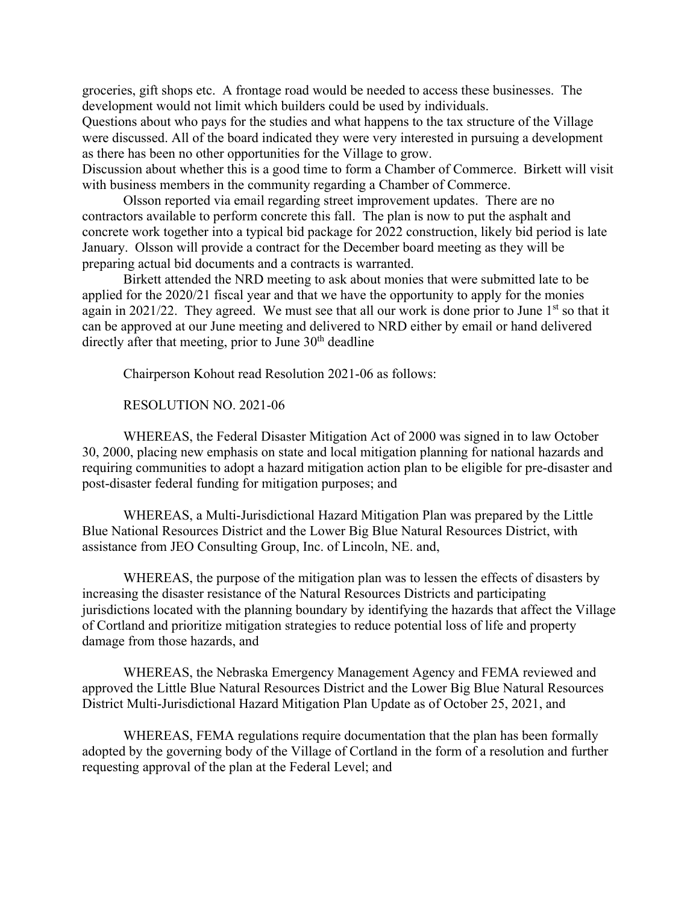groceries, gift shops etc. A frontage road would be needed to access these businesses. The development would not limit which builders could be used by individuals.

Questions about who pays for the studies and what happens to the tax structure of the Village were discussed. All of the board indicated they were very interested in pursuing a development as there has been no other opportunities for the Village to grow.

Discussion about whether this is a good time to form a Chamber of Commerce. Birkett will visit with business members in the community regarding a Chamber of Commerce.

Olsson reported via email regarding street improvement updates. There are no contractors available to perform concrete this fall. The plan is now to put the asphalt and concrete work together into a typical bid package for 2022 construction, likely bid period is late January. Olsson will provide a contract for the December board meeting as they will be preparing actual bid documents and a contracts is warranted.

Birkett attended the NRD meeting to ask about monies that were submitted late to be applied for the 2020/21 fiscal year and that we have the opportunity to apply for the monies again in 2021/22. They agreed. We must see that all our work is done prior to June  $1<sup>st</sup>$  so that it can be approved at our June meeting and delivered to NRD either by email or hand delivered directly after that meeting, prior to June  $30<sup>th</sup>$  deadline

Chairperson Kohout read Resolution 2021-06 as follows:

RESOLUTION NO. 2021-06

 WHEREAS, the Federal Disaster Mitigation Act of 2000 was signed in to law October 30, 2000, placing new emphasis on state and local mitigation planning for national hazards and requiring communities to adopt a hazard mitigation action plan to be eligible for pre-disaster and post-disaster federal funding for mitigation purposes; and

 WHEREAS, a Multi-Jurisdictional Hazard Mitigation Plan was prepared by the Little Blue National Resources District and the Lower Big Blue Natural Resources District, with assistance from JEO Consulting Group, Inc. of Lincoln, NE. and,

 WHEREAS, the purpose of the mitigation plan was to lessen the effects of disasters by increasing the disaster resistance of the Natural Resources Districts and participating jurisdictions located with the planning boundary by identifying the hazards that affect the Village of Cortland and prioritize mitigation strategies to reduce potential loss of life and property damage from those hazards, and

 WHEREAS, the Nebraska Emergency Management Agency and FEMA reviewed and approved the Little Blue Natural Resources District and the Lower Big Blue Natural Resources District Multi-Jurisdictional Hazard Mitigation Plan Update as of October 25, 2021, and

 WHEREAS, FEMA regulations require documentation that the plan has been formally adopted by the governing body of the Village of Cortland in the form of a resolution and further requesting approval of the plan at the Federal Level; and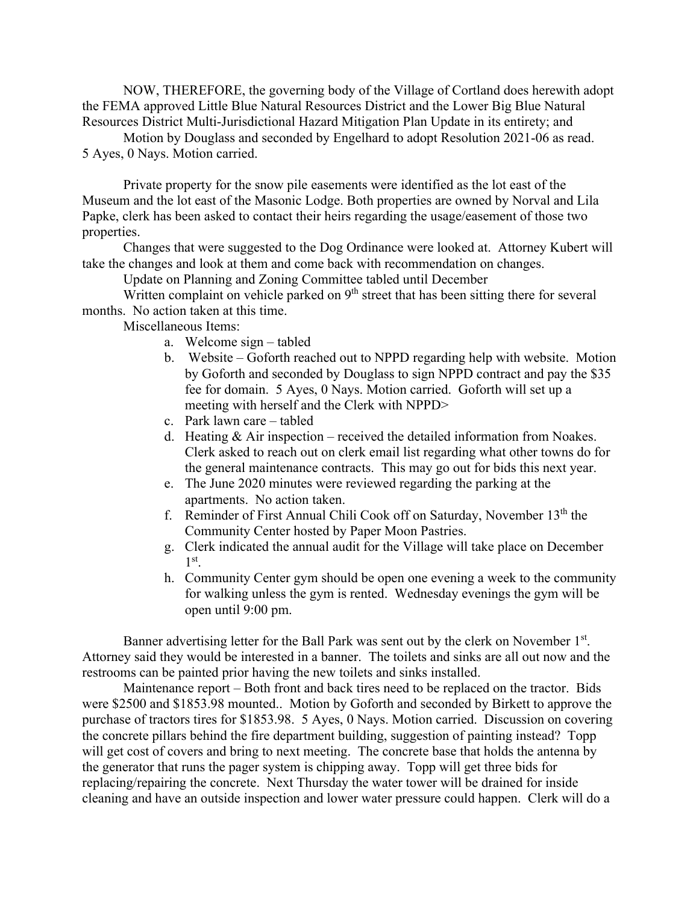NOW, THEREFORE, the governing body of the Village of Cortland does herewith adopt the FEMA approved Little Blue Natural Resources District and the Lower Big Blue Natural Resources District Multi-Jurisdictional Hazard Mitigation Plan Update in its entirety; and

Motion by Douglass and seconded by Engelhard to adopt Resolution 2021-06 as read. 5 Ayes, 0 Nays. Motion carried.

 Private property for the snow pile easements were identified as the lot east of the Museum and the lot east of the Masonic Lodge. Both properties are owned by Norval and Lila Papke, clerk has been asked to contact their heirs regarding the usage/easement of those two properties.

 Changes that were suggested to the Dog Ordinance were looked at. Attorney Kubert will take the changes and look at them and come back with recommendation on changes.

Update on Planning and Zoning Committee tabled until December

Written complaint on vehicle parked on  $9<sup>th</sup>$  street that has been sitting there for several months. No action taken at this time.

Miscellaneous Items:

- a. Welcome sign tabled
- b. Website Goforth reached out to NPPD regarding help with website. Motion by Goforth and seconded by Douglass to sign NPPD contract and pay the \$35 fee for domain. 5 Ayes, 0 Nays. Motion carried. Goforth will set up a meeting with herself and the Clerk with NPPD>
- c. Park lawn care tabled
- d. Heating  $& Air inspection received the detailed information from Noakes.$ Clerk asked to reach out on clerk email list regarding what other towns do for the general maintenance contracts. This may go out for bids this next year.
- e. The June 2020 minutes were reviewed regarding the parking at the apartments. No action taken.
- f. Reminder of First Annual Chili Cook off on Saturday, November 13th the Community Center hosted by Paper Moon Pastries.
- g. Clerk indicated the annual audit for the Village will take place on December  $1<sup>st</sup>$ .
- h. Community Center gym should be open one evening a week to the community for walking unless the gym is rented. Wednesday evenings the gym will be open until 9:00 pm.

Banner advertising letter for the Ball Park was sent out by the clerk on November 1<sup>st</sup>. Attorney said they would be interested in a banner. The toilets and sinks are all out now and the restrooms can be painted prior having the new toilets and sinks installed.

 Maintenance report – Both front and back tires need to be replaced on the tractor. Bids were \$2500 and \$1853.98 mounted.. Motion by Goforth and seconded by Birkett to approve the purchase of tractors tires for \$1853.98. 5 Ayes, 0 Nays. Motion carried. Discussion on covering the concrete pillars behind the fire department building, suggestion of painting instead? Topp will get cost of covers and bring to next meeting. The concrete base that holds the antenna by the generator that runs the pager system is chipping away. Topp will get three bids for replacing/repairing the concrete. Next Thursday the water tower will be drained for inside cleaning and have an outside inspection and lower water pressure could happen. Clerk will do a